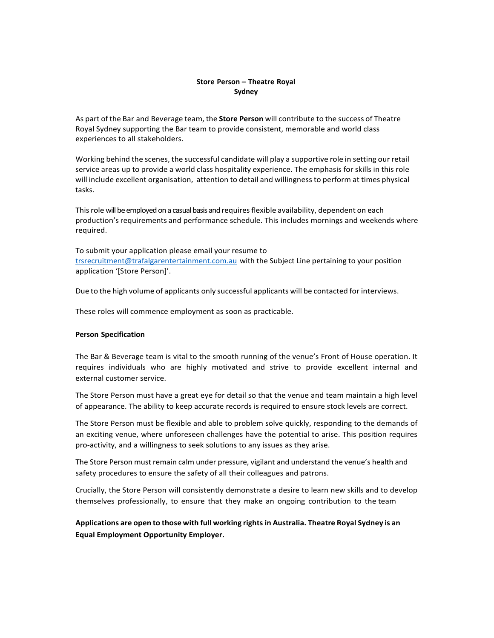### **Store Person – Theatre Royal Sydney**

As part of the Bar and Beverage team, the **Store Person** will contribute to the success of Theatre Royal Sydney supporting the Bar team to provide consistent, memorable and world class experiences to all stakeholders.

Working behind the scenes, the successful candidate will play a supportive role in setting our retail service areas up to provide a world class hospitality experience. The emphasis for skills in this role will include excellent organisation, attention to detail and willingness to perform at times physical tasks.

This role will be employed on a casual basis and requires flexible availability, dependent on each production's requirements and performance schedule. This includes mornings and weekends where required.

To submit your application please email your resume to [trsrecruitment@trafalgarentertainment.com.au](mailto:trsrecruitment@trafalgarentertainment.com.au) with the Subject Line pertaining to your position application '[Store Person]'.

Due to the high volume of applicants only successful applicants will be contacted for interviews.

These roles will commence employment as soon as practicable.

#### **Person Specification**

The Bar & Beverage team is vital to the smooth running of the venue's Front of House operation. It requires individuals who are highly motivated and strive to provide excellent internal and external customer service.

The Store Person must have a great eye for detail so that the venue and team maintain a high level of appearance. The ability to keep accurate records is required to ensure stock levels are correct.

The Store Person must be flexible and able to problem solve quickly, responding to the demands of an exciting venue, where unforeseen challenges have the potential to arise. This position requires pro-activity, and a willingness to seek solutions to any issues as they arise.

The Store Person must remain calm under pressure, vigilant and understand the venue's health and safety procedures to ensure the safety of all their colleagues and patrons.

Crucially, the Store Person will consistently demonstrate a desire to learn new skills and to develop themselves professionally, to ensure that they make an ongoing contribution to the team

**Applications are open to those with full working rights in Australia. Theatre Royal Sydney is an Equal Employment Opportunity Employer.**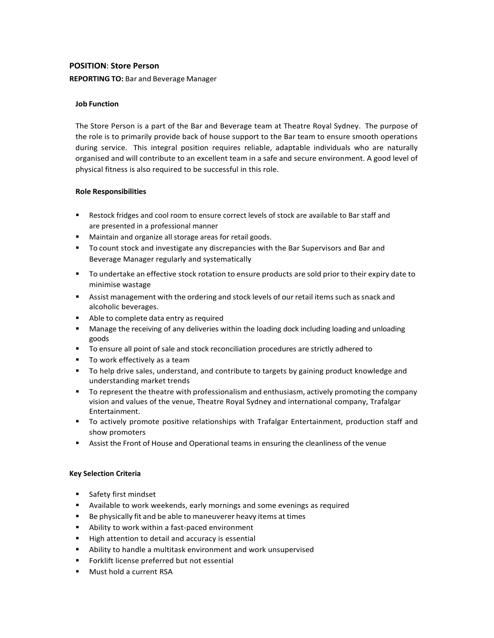### **POSITION**: **Store Person**

#### **REPORTING TO:** Bar and Beverage Manager

### **Job Function**

The Store Person is a part of the Bar and Beverage team at Theatre Royal Sydney. The purpose of the role is to primarily provide back of house support to the Bar team to ensure smooth operations during service. This integral position requires reliable, adaptable individuals who are naturally organised and will contribute to an excellent team in a safe and secure environment. A good level of physical fitness is also required to be successful in this role.

#### **Role Responsibilities**

- Restock fridges and cool room to ensure correct levels of stock are available to Bar staff and are presented in a professional manner
- **Maintain and organize all storage areas for retail goods.**
- To count stock and investigate any discrepancies with the Bar Supervisors and Bar and Beverage Manager regularly and systematically
- To undertake an effective stock rotation to ensure products are sold prior to their expiry date to minimise wastage
- **EXECT Assist management with the ordering and stock levels of our retail items such as snack and** alcoholic beverages.
- Able to complete data entry as required
- Manage the receiving of any deliveries within the loading dock including loading and unloading goods
- To ensure all point of sale and stock reconciliation procedures are strictly adhered to
- To work effectively as a team
- **The Starf and Starts and Starts** and contribute to targets by gaining product knowledge and and understanding market trends
- To represent the theatre with professionalism and enthusiasm, actively promoting the company vision and values of the venue, Theatre Royal Sydney and international company, Trafalgar Entertainment.
- To actively promote positive relationships with Trafalgar Entertainment, production staff and show promoters
- **Assist the Front of House and Operational teams in ensuring the cleanliness of the venue**

### **Key Selection Criteria**

- Safety first mindset
- Available to work weekends, early mornings and some evenings as required
- Be physically fit and be able to maneuverer heavy items at times
- Ability to work within a fast-paced environment
- High attention to detail and accuracy is essential
- Ability to handle a multitask environment and work unsupervised
- **Forklift license preferred but not essential**
- **Must hold a current RSA**